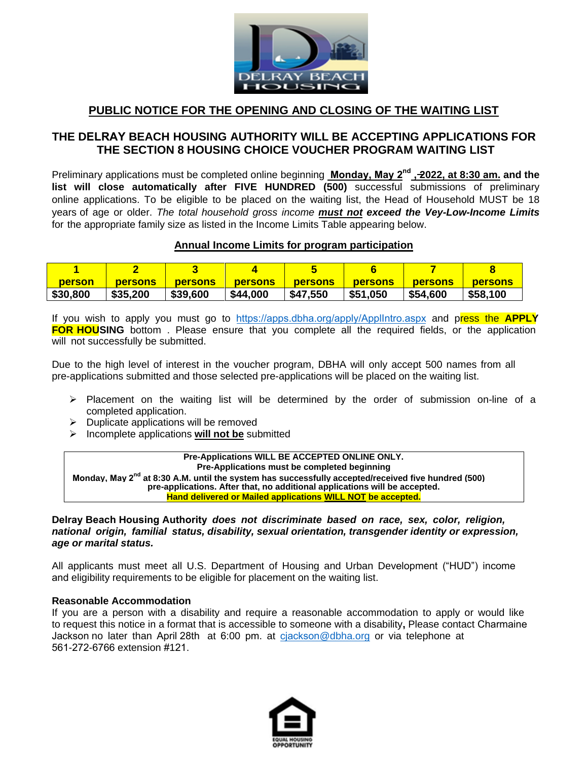

# **PUBLIC NOTICE FOR THE OPENING AND CLOSING OF THE WAITING LIST**

# **THE DELRAY BEACH HOUSING AUTHORITY WILL BE ACCEPTING APPLICATIONS FOR THE SECTION 8 HOUSING CHOICE VOUCHER PROGRAM WAITING LIST**

Preliminary applications must be completed online beginning **Monday, May 2nd , 2022, at 8:30 am. and the list will close automatically after FIVE HUNDRED (500)** successful submissions of preliminary online applications. To be eligible to be placed on the waiting list, the Head of Household MUST be 18 years of age or older. *The total household gross income must not exceed the Vey-Low-Income Limits* for the appropriate family size as listed in the Income Limits Table appearing below.

# **Annual Income Limits for program participation**

| <b>person</b> | <b>persons</b> | <b>persons</b> | persons  | <b>persons</b> | <b>persons</b> | persons  | <b>persons</b> |
|---------------|----------------|----------------|----------|----------------|----------------|----------|----------------|
| \$30,800      | \$35,200       | \$39,600       | \$44,000 | \$47,550       | \$51,050       | \$54,600 | \$58,100       |

If you wish to apply you must go to <https://apps.dbha.org/apply/ApplIntro.aspx> and press the **APPLY FOR HOUSING** bottom. Please ensure that you complete all the required fields, or the application will not successfully be submitted.

Due to the high level of interest in the voucher program, DBHA will only accept 500 names from all pre-applications submitted and those selected pre-applications will be placed on the waiting list.

- $\triangleright$  Placement on the waiting list will be determined by the order of submission on-line of a completed application.
- $\triangleright$  Duplicate applications will be removed
- Incomplete applications **will not be** submitted

#### **Pre-Applications WILL BE ACCEPTED ONLINE ONLY. Pre-Applications must be completed beginning** Monday, May 2<sup>nd</sup> at 8:30 A.M. until the system has successfully accepted/received five hundred (500) **pre-applications. After that, no additional applications will be accepted. Hand delivered or Mailed applications WILL NOT be accepted.**

### **Delray Beach Housing Authority** *does not discriminate based on race, sex, color, religion, national origin, familial status, disability, sexual orientation, transgender identity or expression, age or marital status.*

All applicants must meet all U.S. Department of Housing and Urban Development ("HUD") income and eligibility requirements to be eligible for placement on the waiting list.

### **Reasonable Accommodation**

If you are a person with a disability and require a reasonable accommodation to apply or would like to request this notice in a format that is accessible to someone with a disability**,** Please contact Charmaine Jackson no later than April 28th at 6:00 pm. at cjackson[@dbha.org](mailto:Section8@dbhaonline.org) or via telephone at 561-272-6766 extension #121.